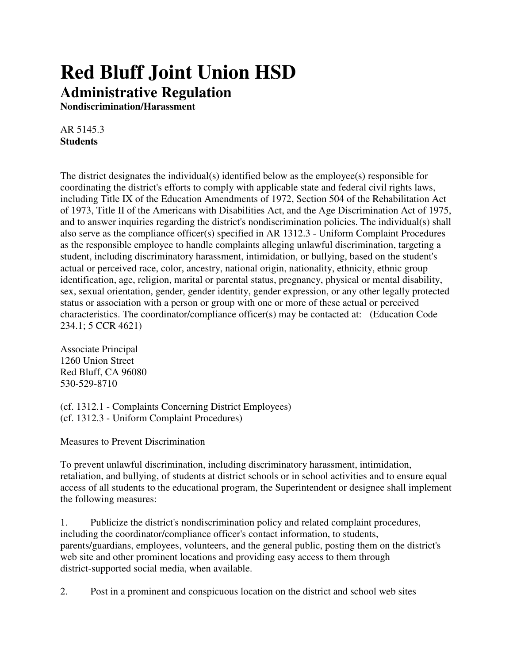## **Red Bluff Joint Union HSD Administrative Regulation**

**Nondiscrimination/Harassment**

AR 5145.3 **Students**

The district designates the individual(s) identified below as the employee(s) responsible for coordinating the district's efforts to comply with applicable state and federal civil rights laws, including Title IX of the Education Amendments of 1972, Section 504 of the Rehabilitation Act of 1973, Title II of the Americans with Disabilities Act, and the Age Discrimination Act of 1975, and to answer inquiries regarding the district's nondiscrimination policies. The individual(s) shall also serve as the compliance officer(s) specified in AR 1312.3 - Uniform Complaint Procedures as the responsible employee to handle complaints alleging unlawful discrimination, targeting a student, including discriminatory harassment, intimidation, or bullying, based on the student's actual or perceived race, color, ancestry, national origin, nationality, ethnicity, ethnic group identification, age, religion, marital or parental status, pregnancy, physical or mental disability, sex, sexual orientation, gender, gender identity, gender expression, or any other legally protected status or association with a person or group with one or more of these actual or perceived characteristics. The coordinator/compliance officer(s) may be contacted at: (Education Code 234.1; 5 CCR 4621)

Associate Principal 1260 Union Street Red Bluff, CA 96080 530-529-8710

(cf. 1312.1 - Complaints Concerning District Employees) (cf. 1312.3 - Uniform Complaint Procedures)

Measures to Prevent Discrimination

To prevent unlawful discrimination, including discriminatory harassment, intimidation, retaliation, and bullying, of students at district schools or in school activities and to ensure equal access of all students to the educational program, the Superintendent or designee shall implement the following measures:

1. Publicize the district's nondiscrimination policy and related complaint procedures, including the coordinator/compliance officer's contact information, to students, parents/guardians, employees, volunteers, and the general public, posting them on the district's web site and other prominent locations and providing easy access to them through district-supported social media, when available.

2. Post in a prominent and conspicuous location on the district and school web sites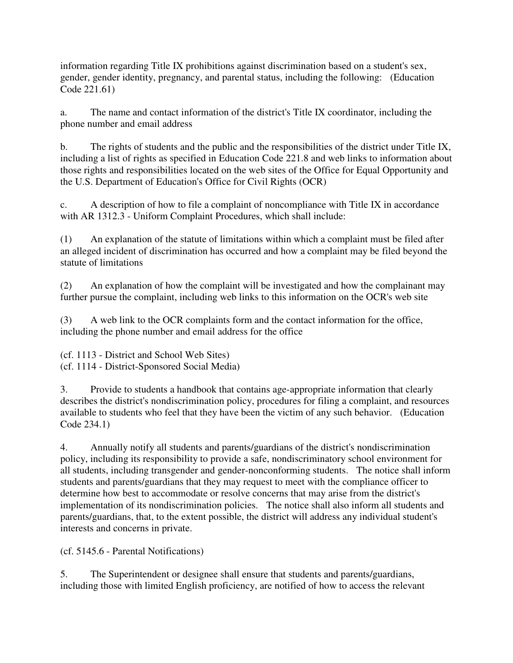information regarding Title IX prohibitions against discrimination based on a student's sex, gender, gender identity, pregnancy, and parental status, including the following: (Education Code 221.61)

a. The name and contact information of the district's Title IX coordinator, including the phone number and email address

b. The rights of students and the public and the responsibilities of the district under Title IX, including a list of rights as specified in Education Code 221.8 and web links to information about those rights and responsibilities located on the web sites of the Office for Equal Opportunity and the U.S. Department of Education's Office for Civil Rights (OCR)

c. A description of how to file a complaint of noncompliance with Title IX in accordance with AR 1312.3 - Uniform Complaint Procedures, which shall include:

(1) An explanation of the statute of limitations within which a complaint must be filed after an alleged incident of discrimination has occurred and how a complaint may be filed beyond the statute of limitations

(2) An explanation of how the complaint will be investigated and how the complainant may further pursue the complaint, including web links to this information on the OCR's web site

(3) A web link to the OCR complaints form and the contact information for the office, including the phone number and email address for the office

(cf. 1113 - District and School Web Sites) (cf. 1114 - District-Sponsored Social Media)

3. Provide to students a handbook that contains age-appropriate information that clearly describes the district's nondiscrimination policy, procedures for filing a complaint, and resources available to students who feel that they have been the victim of any such behavior. (Education Code 234.1)

4. Annually notify all students and parents/guardians of the district's nondiscrimination policy, including its responsibility to provide a safe, nondiscriminatory school environment for all students, including transgender and gender-nonconforming students. The notice shall inform students and parents/guardians that they may request to meet with the compliance officer to determine how best to accommodate or resolve concerns that may arise from the district's implementation of its nondiscrimination policies. The notice shall also inform all students and parents/guardians, that, to the extent possible, the district will address any individual student's interests and concerns in private.

(cf. 5145.6 - Parental Notifications)

5. The Superintendent or designee shall ensure that students and parents/guardians, including those with limited English proficiency, are notified of how to access the relevant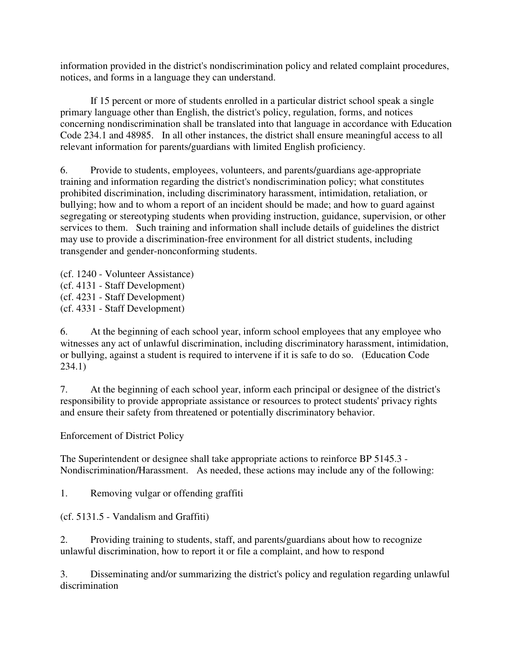information provided in the district's nondiscrimination policy and related complaint procedures, notices, and forms in a language they can understand.

 If 15 percent or more of students enrolled in a particular district school speak a single primary language other than English, the district's policy, regulation, forms, and notices concerning nondiscrimination shall be translated into that language in accordance with Education Code 234.1 and 48985. In all other instances, the district shall ensure meaningful access to all relevant information for parents/guardians with limited English proficiency.

6. Provide to students, employees, volunteers, and parents/guardians age-appropriate training and information regarding the district's nondiscrimination policy; what constitutes prohibited discrimination, including discriminatory harassment, intimidation, retaliation, or bullying; how and to whom a report of an incident should be made; and how to guard against segregating or stereotyping students when providing instruction, guidance, supervision, or other services to them. Such training and information shall include details of guidelines the district may use to provide a discrimination-free environment for all district students, including transgender and gender-nonconforming students.

(cf. 1240 - Volunteer Assistance) (cf. 4131 - Staff Development) (cf. 4231 - Staff Development) (cf. 4331 - Staff Development)

6. At the beginning of each school year, inform school employees that any employee who witnesses any act of unlawful discrimination, including discriminatory harassment, intimidation, or bullying, against a student is required to intervene if it is safe to do so. (Education Code 234.1)

7. At the beginning of each school year, inform each principal or designee of the district's responsibility to provide appropriate assistance or resources to protect students' privacy rights and ensure their safety from threatened or potentially discriminatory behavior.

Enforcement of District Policy

The Superintendent or designee shall take appropriate actions to reinforce BP 5145.3 - Nondiscrimination/Harassment. As needed, these actions may include any of the following:

1. Removing vulgar or offending graffiti

(cf. 5131.5 - Vandalism and Graffiti)

2. Providing training to students, staff, and parents/guardians about how to recognize unlawful discrimination, how to report it or file a complaint, and how to respond

3. Disseminating and/or summarizing the district's policy and regulation regarding unlawful discrimination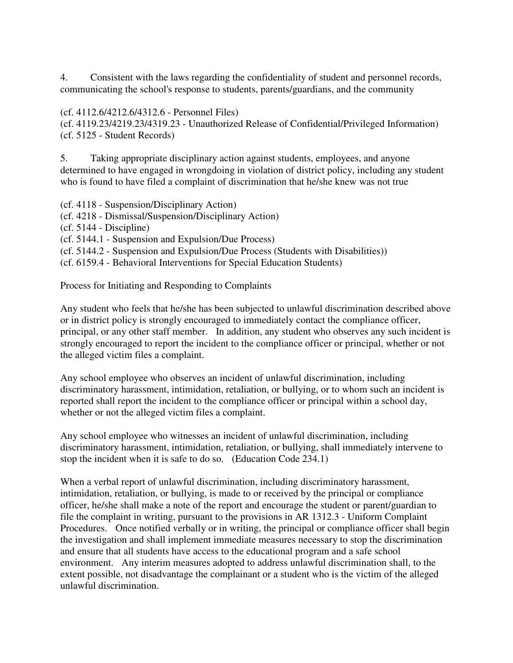4. Consistent with the laws regarding the confidentiality of student and personnel records, communicating the school's response to students, parents/guardians, and the community

## (cf. 4112.6/4212.6/4312.6 - Personnel Files)

(cf. 4119.23/4219.23/4319.23 - Unauthorized Release of Confidential/Privileged Information) (cf. 5125 - Student Records)

5. Taking appropriate disciplinary action against students, employees, and anyone determined to have engaged in wrongdoing in violation of district policy, including any student who is found to have filed a complaint of discrimination that he/she knew was not true

(cf. 4118 - Suspension/Disciplinary Action)

- (cf. 4218 Dismissal/Suspension/Disciplinary Action)
- (cf. 5144 Discipline)
- (cf. 5144.1 Suspension and Expulsion/Due Process)
- (cf. 5144.2 Suspension and Expulsion/Due Process (Students with Disabilities))
- (cf. 6159.4 Behavioral Interventions for Special Education Students)

Process for Initiating and Responding to Complaints

Any student who feels that he/she has been subjected to unlawful discrimination described above or in district policy is strongly encouraged to immediately contact the compliance officer, principal, or any other staff member. In addition, any student who observes any such incident is strongly encouraged to report the incident to the compliance officer or principal, whether or not the alleged victim files a complaint.

Any school employee who observes an incident of unlawful discrimination, including discriminatory harassment, intimidation, retaliation, or bullying, or to whom such an incident is reported shall report the incident to the compliance officer or principal within a school day, whether or not the alleged victim files a complaint.

Any school employee who witnesses an incident of unlawful discrimination, including discriminatory harassment, intimidation, retaliation, or bullying, shall immediately intervene to stop the incident when it is safe to do so. (Education Code 234.1)

When a verbal report of unlawful discrimination, including discriminatory harassment, intimidation, retaliation, or bullying, is made to or received by the principal or compliance officer, he/she shall make a note of the report and encourage the student or parent/guardian to file the complaint in writing, pursuant to the provisions in AR 1312.3 - Uniform Complaint Procedures. Once notified verbally or in writing, the principal or compliance officer shall begin the investigation and shall implement immediate measures necessary to stop the discrimination and ensure that all students have access to the educational program and a safe school environment. Any interim measures adopted to address unlawful discrimination shall, to the extent possible, not disadvantage the complainant or a student who is the victim of the alleged unlawful discrimination.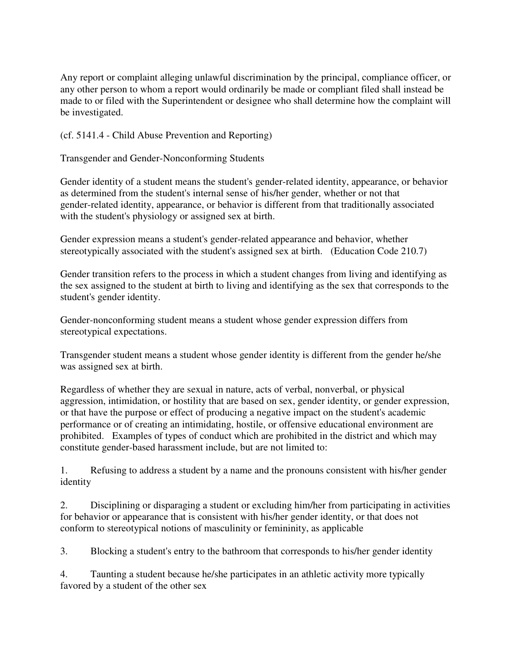Any report or complaint alleging unlawful discrimination by the principal, compliance officer, or any other person to whom a report would ordinarily be made or compliant filed shall instead be made to or filed with the Superintendent or designee who shall determine how the complaint will be investigated.

(cf. 5141.4 - Child Abuse Prevention and Reporting)

Transgender and Gender-Nonconforming Students

Gender identity of a student means the student's gender-related identity, appearance, or behavior as determined from the student's internal sense of his/her gender, whether or not that gender-related identity, appearance, or behavior is different from that traditionally associated with the student's physiology or assigned sex at birth.

Gender expression means a student's gender-related appearance and behavior, whether stereotypically associated with the student's assigned sex at birth. (Education Code 210.7)

Gender transition refers to the process in which a student changes from living and identifying as the sex assigned to the student at birth to living and identifying as the sex that corresponds to the student's gender identity.

Gender-nonconforming student means a student whose gender expression differs from stereotypical expectations.

Transgender student means a student whose gender identity is different from the gender he/she was assigned sex at birth.

Regardless of whether they are sexual in nature, acts of verbal, nonverbal, or physical aggression, intimidation, or hostility that are based on sex, gender identity, or gender expression, or that have the purpose or effect of producing a negative impact on the student's academic performance or of creating an intimidating, hostile, or offensive educational environment are prohibited. Examples of types of conduct which are prohibited in the district and which may constitute gender-based harassment include, but are not limited to:

1. Refusing to address a student by a name and the pronouns consistent with his/her gender identity

2. Disciplining or disparaging a student or excluding him/her from participating in activities for behavior or appearance that is consistent with his/her gender identity, or that does not conform to stereotypical notions of masculinity or femininity, as applicable

3. Blocking a student's entry to the bathroom that corresponds to his/her gender identity

4. Taunting a student because he/she participates in an athletic activity more typically favored by a student of the other sex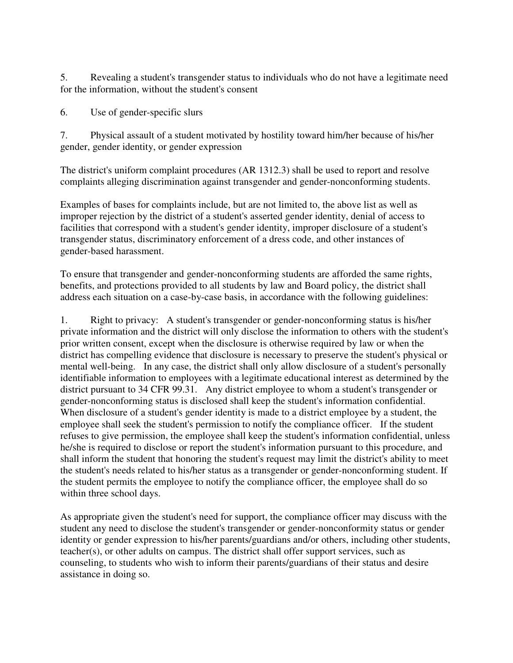5. Revealing a student's transgender status to individuals who do not have a legitimate need for the information, without the student's consent

6. Use of gender-specific slurs

7. Physical assault of a student motivated by hostility toward him/her because of his/her gender, gender identity, or gender expression

The district's uniform complaint procedures (AR 1312.3) shall be used to report and resolve complaints alleging discrimination against transgender and gender-nonconforming students.

Examples of bases for complaints include, but are not limited to, the above list as well as improper rejection by the district of a student's asserted gender identity, denial of access to facilities that correspond with a student's gender identity, improper disclosure of a student's transgender status, discriminatory enforcement of a dress code, and other instances of gender-based harassment.

To ensure that transgender and gender-nonconforming students are afforded the same rights, benefits, and protections provided to all students by law and Board policy, the district shall address each situation on a case-by-case basis, in accordance with the following guidelines:

1. Right to privacy: A student's transgender or gender-nonconforming status is his/her private information and the district will only disclose the information to others with the student's prior written consent, except when the disclosure is otherwise required by law or when the district has compelling evidence that disclosure is necessary to preserve the student's physical or mental well-being. In any case, the district shall only allow disclosure of a student's personally identifiable information to employees with a legitimate educational interest as determined by the district pursuant to 34 CFR 99.31. Any district employee to whom a student's transgender or gender-nonconforming status is disclosed shall keep the student's information confidential. When disclosure of a student's gender identity is made to a district employee by a student, the employee shall seek the student's permission to notify the compliance officer. If the student refuses to give permission, the employee shall keep the student's information confidential, unless he/she is required to disclose or report the student's information pursuant to this procedure, and shall inform the student that honoring the student's request may limit the district's ability to meet the student's needs related to his/her status as a transgender or gender-nonconforming student. If the student permits the employee to notify the compliance officer, the employee shall do so within three school days.

As appropriate given the student's need for support, the compliance officer may discuss with the student any need to disclose the student's transgender or gender-nonconformity status or gender identity or gender expression to his/her parents/guardians and/or others, including other students, teacher(s), or other adults on campus. The district shall offer support services, such as counseling, to students who wish to inform their parents/guardians of their status and desire assistance in doing so.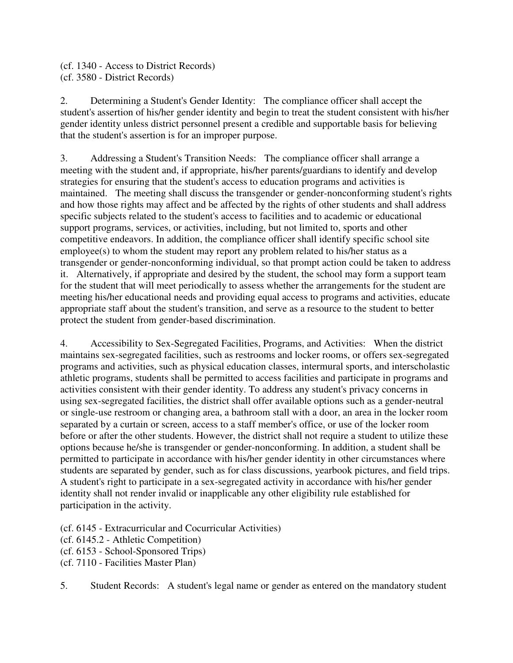(cf. 1340 - Access to District Records) (cf. 3580 - District Records)

2. Determining a Student's Gender Identity: The compliance officer shall accept the student's assertion of his/her gender identity and begin to treat the student consistent with his/her gender identity unless district personnel present a credible and supportable basis for believing that the student's assertion is for an improper purpose.

3. Addressing a Student's Transition Needs: The compliance officer shall arrange a meeting with the student and, if appropriate, his/her parents/guardians to identify and develop strategies for ensuring that the student's access to education programs and activities is maintained. The meeting shall discuss the transgender or gender-nonconforming student's rights and how those rights may affect and be affected by the rights of other students and shall address specific subjects related to the student's access to facilities and to academic or educational support programs, services, or activities, including, but not limited to, sports and other competitive endeavors. In addition, the compliance officer shall identify specific school site employee(s) to whom the student may report any problem related to his/her status as a transgender or gender-nonconforming individual, so that prompt action could be taken to address it. Alternatively, if appropriate and desired by the student, the school may form a support team for the student that will meet periodically to assess whether the arrangements for the student are meeting his/her educational needs and providing equal access to programs and activities, educate appropriate staff about the student's transition, and serve as a resource to the student to better protect the student from gender-based discrimination.

4. Accessibility to Sex-Segregated Facilities, Programs, and Activities: When the district maintains sex-segregated facilities, such as restrooms and locker rooms, or offers sex-segregated programs and activities, such as physical education classes, intermural sports, and interscholastic athletic programs, students shall be permitted to access facilities and participate in programs and activities consistent with their gender identity. To address any student's privacy concerns in using sex-segregated facilities, the district shall offer available options such as a gender-neutral or single-use restroom or changing area, a bathroom stall with a door, an area in the locker room separated by a curtain or screen, access to a staff member's office, or use of the locker room before or after the other students. However, the district shall not require a student to utilize these options because he/she is transgender or gender-nonconforming. In addition, a student shall be permitted to participate in accordance with his/her gender identity in other circumstances where students are separated by gender, such as for class discussions, yearbook pictures, and field trips. A student's right to participate in a sex-segregated activity in accordance with his/her gender identity shall not render invalid or inapplicable any other eligibility rule established for participation in the activity.

(cf. 6145 - Extracurricular and Cocurricular Activities)

(cf. 6145.2 - Athletic Competition)

(cf. 6153 - School-Sponsored Trips)

(cf. 7110 - Facilities Master Plan)

5. Student Records: A student's legal name or gender as entered on the mandatory student